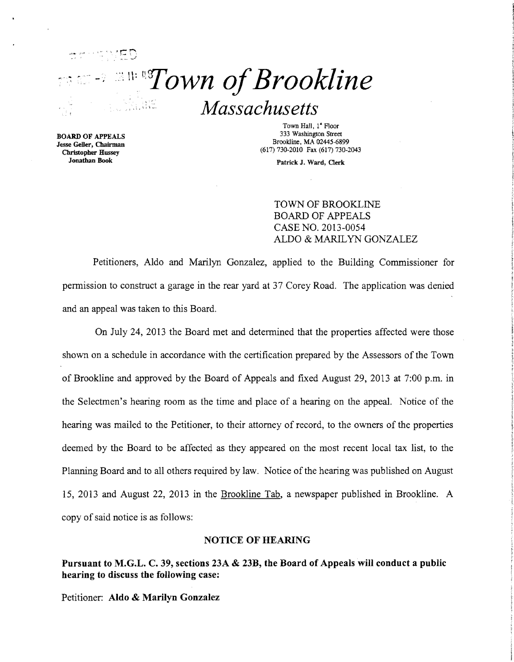

BOARD OF APPEALS Jesse Geller, Chairman Christopher Hussey

Town Hall, 1<sup>ª</sup> Floor 333 Washington Street Brookline, MA 02445-6899 (617) 730-2010 Fax (617) 730-2043

Jonathan Book Patrick J. Ward, Qerk

TOWN OF BROOKLINE BOARD OF APPEALS CASE NO. 2013-0054 ALDO & MARILYN GONZALEZ

Petitioners, Aldo and Marilyn Gonzalez, applied to the Building Commissioner for pennission to construct a garage in the rear yard at 37 Corey Road. The application was denied and an appeal was taken to this Board.

On July 24, 2013 the Board met and detennined that the properties affected were those shown on a schedule in accordance with the certification prepared by the Assessors of the Town of Brookline and approved by the Board of Appeals and fixed August 29, 2013 at 7:00 p.m. in the Selectmen's hearing room as the time and place of a hearing on the appeal. Notice of the hearing was mailed to the Petitioner, to their attorney of record, to the owners of the properties deemed by the Board to be affected as they appeared on the most recent local tax list, to the Planning Board and to all others required by law. Notice of the hearing was published on August 15, 2013 and August 22, 2013 in the Brookline Tab, a newspaper published in Brookline. A copy of said notice is as follows:

### NOTICE OF HEARING

Pursuant to M.G.L. C. 39, sections 23A & 23B, tbe Board of Appeals will conduct a public bearing to discuss tbe following case:

Petitioner: Aldo & Marilyn Gonzalez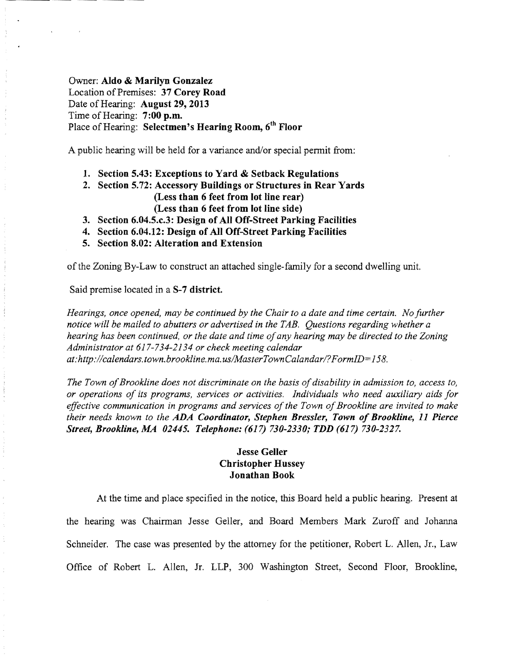# Owner: Aldo & Marilyn Gonzalez Location of Premises: 37 Corey Road Date of Hearing: August 29, 2013 Time of Hearing: 7:00 p.m. Place of Hearing: Selectmen's Hearing Room, 6<sup>th</sup> Floor

A public hearing will be held for a variance and/or special permit from:

- 1. Section 5.43: Exceptions to Yard & Setback Regulations
- 2. Section 5.72: Accessory Buildings or Structures in Rear Yards (Less than 6 feet from lot line rear) (Less than 6 feet from lot line side)
- 3. Section 6.04.5.c.3: Design of All Off-Street Parking Facilities
- 4. Section 6.04.12: Design of All Off-Street Parking Facilities
- 5. Section 8.02: Alteration and Extension

ofthe Zoning By-Law to construct an attached single-family for a second dwelling unit.

Said premise located in a S-7 district.

*Hearings, once opened, may be continued by the Chair to a date and time certain. No further notice will be mailed to abutters or advertised in the TAB. Questions regarding whether a*  hearing has been continued, or the date and time of any hearing may be directed to the Zoning *Administrator at* 617-734-2134 *or check meeting calendar at:http://calendars.town.brookline.ma.usIMasterTownCalandar!?FormID=158.* 

*The Town of Brookline does not discriminate on the basis of disability in admission to, access to, or operations of its programs, services or activities. Individuals who need auxiliary aids for effective communication in programs and services of the Town of Brookline are invited to make their needs known to the* ADA *Coordinator, Stephen Bressler, Town of Brookline,* 11 *Pierce Street, Brookline, MA 02445. Telephone:* (617) *730-2330; TDD* (617) *730-2327.* 

# **Jesse Geller** Christopher Hussey Jonathan Book

At the time and place specified in the notice, this Board held a public hearing. Present at the hearing was Chairman Jesse Geller, and Board Members Mark Zuroff and Johanna Schneider. The case was presented by the attorney for the petitioner, Robert L. Allen, Jr., Law Office of Robert L. Allen, Jr. LLP, 300 Washington Street, Second Floor, Brookline,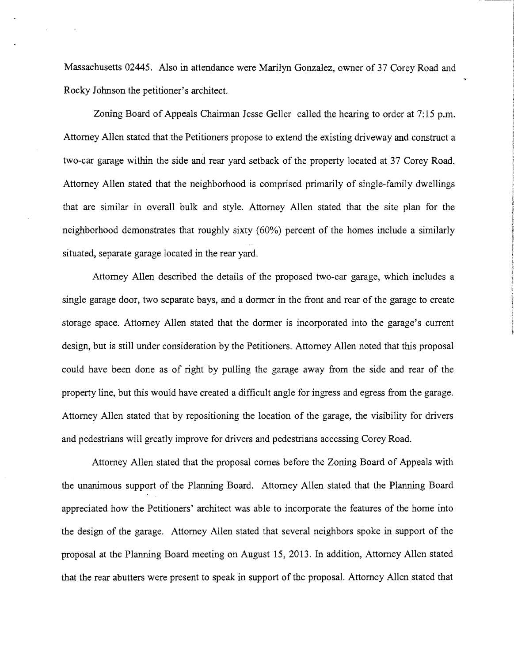Massachusetts 02445. Also in attendance were Marilyn Gonzalez, owner of 37 Corey Road and Rocky Johnson the petitioner's architect.

Zoning Board of Appeals Chairman Jesse Geller called the hearing to order at 7:15 p.m. Attorney Allen stated that the Petitioners propose to extend the existing driveway and construct a two-car garage within the side and rear yard setback of the property located at 37 Corey Road. Attorney Allen stated that the neighborhood is comprised primarily of single-family dwellings that are similar in overall bulk and style. Attorney Allen stated that the site plan for the neighborhood demonstrates that roughly sixty (60%) percent of the homes include a similarly situated, separate garage located in the rear yard.

Attorney Allen described the details of the proposed two-car garage, which includes a single garage door, two separate bays, and a dormer in the front and rear of the garage to create storage space. Attorney Allen stated that the dormer is incorporated into the garage's current design, but is still under consideration by the Petitioners. Attorney Allen noted that this proposal could have been done as of right by pulling the garage away from the side and rear of the property line, but this would have created a difficult angle for ingress and egress from the garage. Attorney Allen stated that by repositioning the location of the garage, the visibility for drivers and pedestrians will greatly improve for drivers and pedestrians accessing Corey Road.

Attorney Allen stated that the proposal comes before the Zoning Board of Appeals with the unanimous support of the Planning Board. Attorney Allen stated that the Planning Board appreciated how the Petitioners' architect was able to incorporate the features of the home into the design of the garage. Attorney Allen stated that several neighbors spoke in support of the proposal at the Planning Board meeting on August 15, 2013. In addition, Attorney Allen stated that the rear abutters were present to speak in support of the proposal. Attorney Allen stated that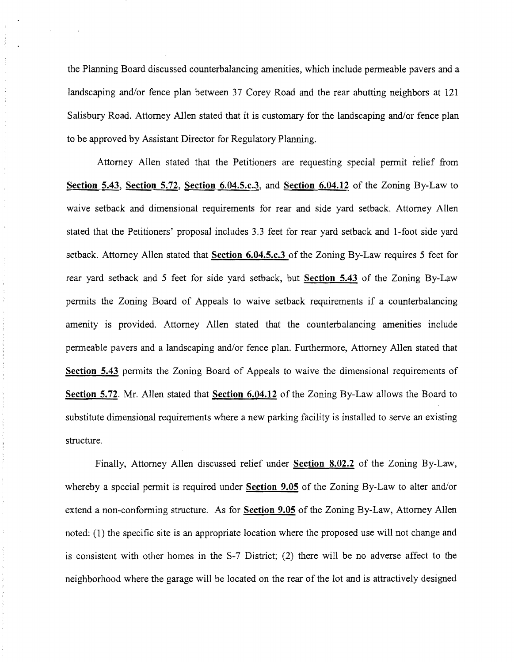the Planning Board discussed counterbalancing amenities, which include penneable pavers and a landscaping and/or fence plan between 37 Corey Road and the rear abutting neighbors at 121 Salisbury Road. Attorney Allen stated that it is customary for the landscaping and/or fence plan to be approved by Assistant Director for Regulatory Planning.

 $\begin{array}{c} 1 \\ 1 \\ 2 \end{array}$  $\frac{1}{2}$ 

Attorney Allen stated that the Petitioners are requesting special pennit relief from **Section** 5.43, **Section** 5.72, **Section** 6.04.5.c.3, and **Section 6.04.12** of the Zoning By-Law to waive setback and dimensional requirements for rear and side yard setback. Attorney Allen stated that the Petitioners' proposal includes 3.3 feet for rear yard setback and I-foot side yard setback. Attorney Allen stated that **Section 6.04.5.c.3** of the Zoning By-Law requires 5 feet for rear yard setback and 5 feet for side yard setback, but **Section 5.43** of the Zoning By-Law pennits the Zoning Board of Appeals to waive setback requirements if a counterbalancing amenity is provided. Attorney Allen stated that the counterbalancing amenities include penneable pavers and a landscaping and/or fence plan. Furthennore, Attorney Allen stated that **Section 5.43** pennits the Zoning Board of Appeals to waive the dimensional requirements of **Section 5.72.** Mr. Allen stated that **Section 6.04.12** of the Zoning By-Law allows the Board to substitute dimensional requirements where a new parking facility is installed to serve an existing structure.

Finally, Attorney Allen discussed relief under **Section 8.02.2** of the Zoning By-Law, whereby a special permit is required under **Section 9.05** of the Zoning By-Law to alter and/or extend a non-confonning structure. As for **Section 9.05** of the Zoning By-Law, Attorney Allen noted: (1) the specific site is an appropriate location where the proposed use will not change and is consistent with other homes in the S-7 District; (2) there will be no adverse affect to the neighborhood where the garage will be located on the rear of the lot and is attractively designed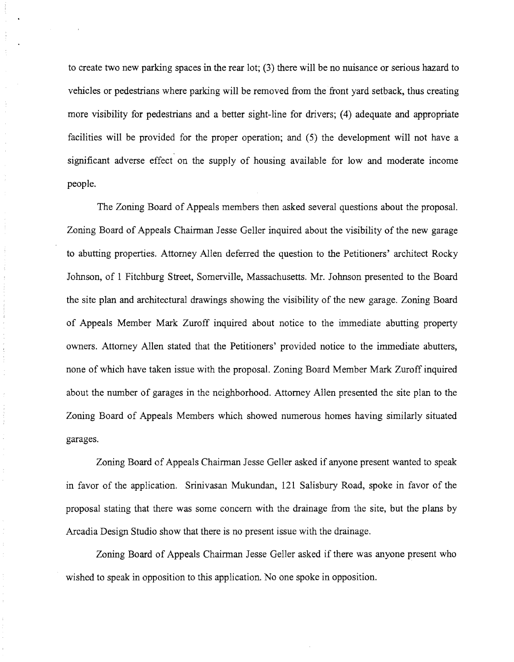to create two new parking spaces in the rear lot; (3) there will be no nuisance or serious hazard to vehicles or pedestrians where parking will be removed from the front yard setback, thus creating more visibility for pedestrians and a better sight-line for drivers; (4) adequate and appropriate facilities will be provided for the proper operation; and (5) the development will not have a significant adverse effect on the supply of housing available for low and moderate income people.

The Zoning Board of Appeals members then asked several questions about the proposal. Zoning Board of Appeals Chairman Jesse Geller inquired about the visibility of the new garage to abutting properties. Attorney Allen deferred the question to the Petitioners' architect Rocky Johnson, of 1 Fitchburg Street, Somerville, Massachusetts. Mr. Johnson presented to the Board the site plan and architectural drawings showing the visibility of the new garage. Zoning Board of Appeals Member Mark Zuroff inquired about notice to the immediate abutting property owners. Attorney Allen stated that the Petitioners' provided notice to the immediate abutters, none of which have taken issue with the proposal. Zoning Board Member Mark Zuroff inquired about the number of garages in the neighborhood. Attorney Allen presented the site plan to the Zoning Board of Appeals Members which showed numerous homes having similarly situated garages.

Zoning Board of Appeals Chairman Jesse Geller asked if anyone present wanted to speak in favor of the application. Srinivasan Mukundan, 121 Salisbury Road, spoke in favor of the proposal stating that there was some concern with the drainage from the site, but the plans by Arcadia Design Studio show that there is no present issue with the drainage.

Zoning Board of Appeals Chairman Jesse Geller asked if there was anyone present who wished to speak in opposition to this application. No one spoke in opposition.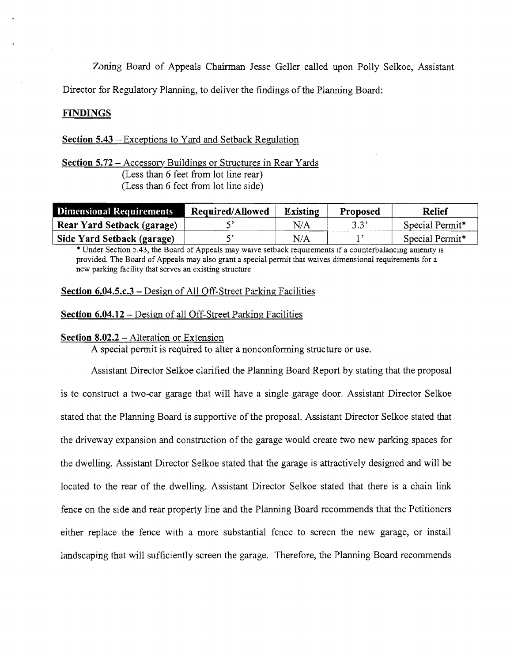Zoning Board of Appeals Chairman Jesse Geller called upon Polly Selkoe, Assistant

Director for Regulatory Planning, to deliver the findings of the Planning Board:

## F1NDINGS

## Section 5.43 - Exceptions to Yard and Setback Regulation

Section 5.72 - Accessory Buildings or Structures in Rear Yards (Less than 6 feet from lot line rear) (Less than 6 feet from lot line side)

| <b>Dimensional Requirements</b> | Required/Allowed | Existing | <b>Proposed</b> | <b>Relief</b>               |
|---------------------------------|------------------|----------|-----------------|-----------------------------|
| Rear Yard Setback (garage)      |                  | N/A      | 3.3'            | Special Permit <sup>*</sup> |
| Side Yard Setback (garage)      |                  | N/A      |                 | Special Permit*             |

\* Under Section 5.43, the Board of Appeals may waive setback requirements if a counterbalancing amenity is provided. The Board of Appeals may also grant a special permit that waives dimensional requirements for a new parking facility that serves an existing structure

### Section 6.04.5.c.3 - Design of All Off-Street Parking Facilities

#### Section 6.04.12 - Design of all Off-Street Parking Facilities

#### Section 8.02.2 – Alteration or Extension

A special permit is required to alter a nonconforming structure or use.

Assistant Director Selkoe clarified the Planning Board Report by stating that the proposal is to construct a two-car garage that will have a single garage door. Assistant Director Selkoe stated that the Planning Board is supportive of the proposal. Assistant Director Selkoe stated that the driveway expansion and construction of the garage would create two new parking spaces for the dwelling. Assistant Director Selkoe stated that the garage is attractively designed and will be located to the rear of the dwelling. Assistant Director Selkoe stated that there is a chain link fence on the side and rear property line and the Planning Board recommends that the Petitioners either replace the fence with a more substantial fence to screen the new garage, or install landscaping that will sufficiently screen the garage. Therefore, the Planning Board recommends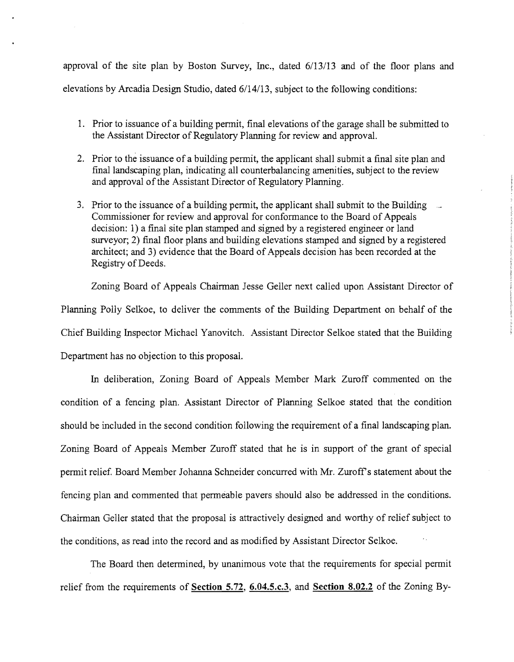approval of the site plan by Boston Survey, Inc., dated  $6/13/13$  and of the floor plans and elevations by Arcadia Design Studio, dated 6/14/13, subject to the following conditions:

- 1. Prior to issuance of a building permit, final elevations of the garage shall be submitted to the Assistant Director of Regulatory Planning for review and approval.
- 2. Prior to the issuance of a building permit, the applicant shall submit a final site plan and final landscaping plan, indicating all counterbalancing amenities, subject to the review and approval of the Assistant Director of Regulatory Planning.
- 3. Prior to the issuance of a building permit, the applicant shall submit to the Building Commissioner for review and approval for confonnance to the Board of Appeals decision: I) a final site plan stamped and signed by a registered engineer or land surveyor; 2) final floor plans and building elevations stamped and signed by a registered architect; and 3) evidence that the Board of Appeals decision has been recorded at the Registry of Deeds.

Zoning Board of Appeals Chairman Jesse Geller next called upon Assistant Director of Planning Polly Selkoe, to deliver the comments of the Building Department on behalf of the Chief Building Inspector Michael Yanovitch. Assistant Director Selkoe stated that the Building Department has no objection to this proposal.

In deliberation, Zoning Board of Appeals Member Mark Zuroff commented on the condition of a fencing plan. Assistant Director of Planning Selkoe stated that the condition should be included in the second condition following the requirement of a final landscaping plan. Zoning Board of Appeals Member Zuroff stated that he is in support of the grant of special pennit relief. Board Member Johanna Schneider concurred with Mr. Zuroffs statement about the fencing plan and commented that permeable pavers should also be addressed in the conditions. Chainnan Geller stated that the proposal is attractively designed and worthy of relief subject to the conditions, as read into the record and as modified by Assistant Director Selkoe.

The Board then determined, by unanimous vote that the requirements for special permit relief from the requirements of **Section 5.72, 6.04.5.c.3, and Section 8.02.2** of the Zoning By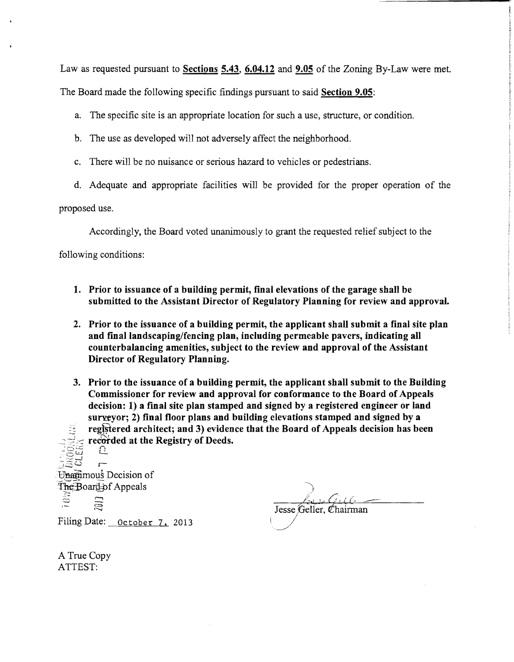Law as requested pursuant to **Sections 5.43, 6.04.12 and 9.05** of the Zoning By-Law were met.

The Board made the following specific findings pursuant to said **Section 9.05:** 

a. The specific site is an appropriate location for such a use, structure, or condition.

b. The use as developed will not adversely affect the neighborhood.

c. There will be no nuisance or serious hazard to vehicles or pedestrians.

d. Adequate and appropriate facilities will be provided for the proper operation of the

proposed use.

Accordingly, the Board voted unanimously to grant the requested relief subject to the

following conditions:

- **1. Prior to issuance of a building permit, final elevations of the garage shall be submitted to the Assistant Director of Regulatory Planning for review and approval.**
- **2. Prior to the issuance of a building permit, the applicant shall submit a final site plan**  and final landscaping/fencing plan, including permeable pavers, indicating all **counterbalancing amenities, subject to the review and approval of the Assistant Director of Regulatory Planning.**
- **3. Prior to the issuance of a building permit, the applicant shall submit to the Building Commissioner for review and approval for conformance to the Board of Appeals decision: 1) a final site plan stamped and signed by a registered engineer or land**  surveyor; 2) final floor plans and building elevations stamped and signed by a registered architect; and 3) evidence that the Board of Appeals decision has been recorded at the Registry of Deeds.  $\overline{\Omega}$  .

r-Unamimous Decision of The Board of Appeals Ξ 20D

Filing Date: October 7, 2013

Jesse Geller, Chairman

A True Copy ATTEST: